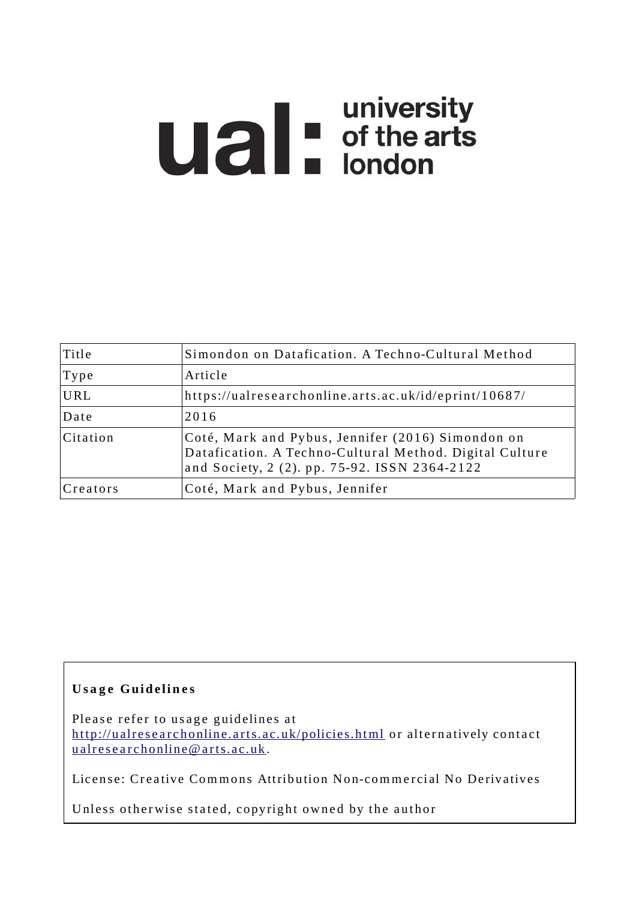# **university**<br> **university**<br> **of the arts**<br> **ondon**

| Title    | Simondon on Datafication. A Techno-Cultural Method                                                                                                            |
|----------|---------------------------------------------------------------------------------------------------------------------------------------------------------------|
| Type     | Article                                                                                                                                                       |
| URL      | https://ualresearchonline.arts.ac.uk/id/eprint/10687/                                                                                                         |
| Date     | 2016                                                                                                                                                          |
| Citation | Coté, Mark and Pybus, Jennifer (2016) Simondon on<br>Datafication. A Techno-Cultural Method. Digital Culture<br>and Society, 2 (2). pp. 75-92. ISSN 2364-2122 |
| Creators | Coté, Mark and Pybus, Jennifer                                                                                                                                |

# **U s a g e Gui d e li n e s**

Please refer to usage guidelines at http://ualresearchonline.arts.ac.uk/policies.html or alternatively contact u alres e archonline@ arts.ac.uk.

License: Creative Commons Attribution Non-commercial No Derivatives

Unless otherwise stated, copyright owned by the author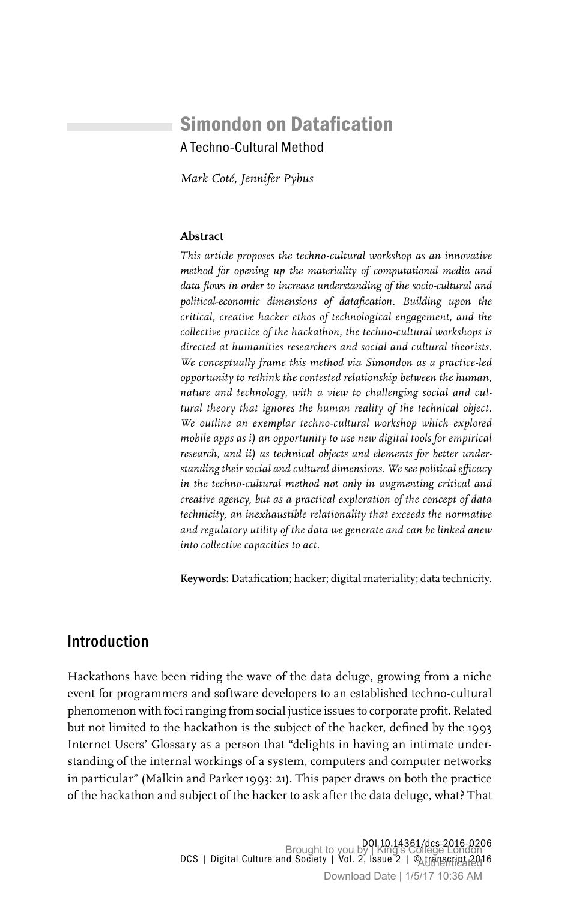# Simondon on Datafication A Techno-Cultural Method

*Mark Coté, Jennifer Pybus*

### **Abstract**

*This article proposes the techno-cultural workshop as an innovative method for opening up the materiality of computational media and data flows in order to increase understanding of the socio-cultural and political-economic dimensions of datafication. Building upon the critical, creative hacker ethos of technological engagement, and the collective practice of the hackathon, the techno-cultural workshops is directed at humanities researchers and social and cultural theorists. We conceptually frame this method via Simondon as a practice-led opportunity to rethink the contested relationship between the human, nature and technology, with a view to challenging social and cultural theory that ignores the human reality of the technical object. We outline an exemplar techno-cultural workshop which explored mobile apps as i) an opportunity to use new digital tools for empirical research, and ii) as technical objects and elements for better understanding their social and cultural dimensions. We see political efficacy in the techno-cultural method not only in augmenting critical and creative agency, but as a practical exploration of the concept of data technicity, an inexhaustible relationality that exceeds the normative and regulatory utility of the data we generate and can be linked anew into collective capacities to act.*

**Keywords:** Datafication; hacker; digital materiality; data technicity.

### Introduction

Hackathons have been riding the wave of the data deluge, growing from a niche event for programmers and software developers to an established techno-cultural phenomenon with foci ranging from social justice issues to corporate profit. Related but not limited to the hackathon is the subject of the hacker, defined by the 1993 Internet Users' Glossary as a person that "delights in having an intimate understanding of the internal workings of a system, computers and computer networks in particular" (Malkin and Parker 1993: 21). This paper draws on both the practice of the hackathon and subject of the hacker to ask after the data deluge, what? That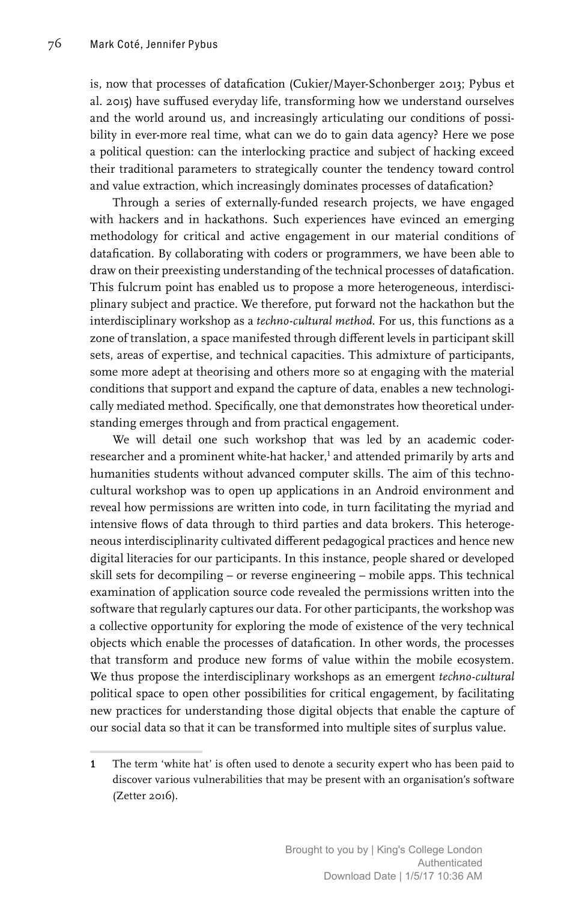is, now that processes of datafication (Cukier/Mayer-Schonberger 2013; Pybus et al. 2015) have suffused everyday life, transforming how we understand ourselves and the world around us, and increasingly articulating our conditions of possibility in ever-more real time, what can we do to gain data agency? Here we pose a political question: can the interlocking practice and subject of hacking exceed their traditional parameters to strategically counter the tendency toward control and value extraction, which increasingly dominates processes of datafication?

Through a series of externally-funded research projects, we have engaged with hackers and in hackathons. Such experiences have evinced an emerging methodology for critical and active engagement in our material conditions of datafication. By collaborating with coders or programmers, we have been able to draw on their preexisting understanding of the technical processes of datafication. This fulcrum point has enabled us to propose a more heterogeneous, interdisciplinary subject and practice. We therefore, put forward not the hackathon but the interdisciplinary workshop as a *techno-cultural method*. For us, this functions as a zone of translation, a space manifested through different levels in participant skill sets, areas of expertise, and technical capacities. This admixture of participants, some more adept at theorising and others more so at engaging with the material conditions that support and expand the capture of data, enables a new technologically mediated method. Specifically, one that demonstrates how theoretical understanding emerges through and from practical engagement.

We will detail one such workshop that was led by an academic coderresearcher and a prominent white-hat hacker,<sup>1</sup> and attended primarily by arts and humanities students without advanced computer skills. The aim of this technocultural workshop was to open up applications in an Android environment and reveal how permissions are written into code, in turn facilitating the myriad and intensive flows of data through to third parties and data brokers. This heterogeneous interdisciplinarity cultivated different pedagogical practices and hence new digital literacies for our participants. In this instance, people shared or developed skill sets for decompiling – or reverse engineering – mobile apps. This technical examination of application source code revealed the permissions written into the software that regularly captures our data. For other participants, the workshop was a collective opportunity for exploring the mode of existence of the very technical objects which enable the processes of datafication. In other words, the processes that transform and produce new forms of value within the mobile ecosystem. We thus propose the interdisciplinary workshops as an emergent *techno-cultural* political space to open other possibilities for critical engagement, by facilitating new practices for understanding those digital objects that enable the capture of our social data so that it can be transformed into multiple sites of surplus value.

<sup>1</sup> The term 'white hat' is often used to denote a security expert who has been paid to discover various vulnerabilities that may be present with an organisation's software (Zetter 2016).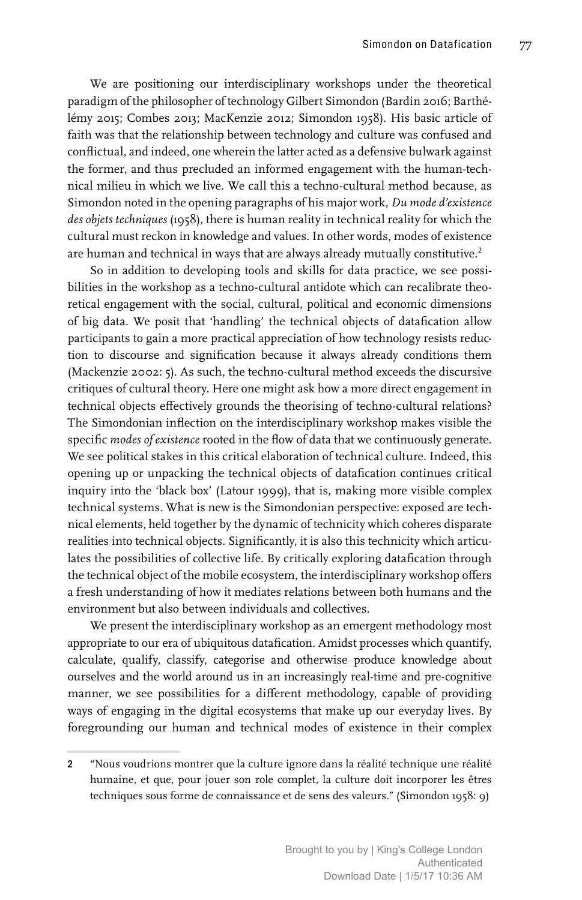We are positioning our interdisciplinary workshops under the theoretical paradigm of the philosopher of technology Gilbert Simondon (Bardin 2016; Barthélémy 2015; Combes 2013; MacKenzie 2012; Simondon 1958). His basic article of faith was that the relationship between technology and culture was confused and conflictual, and indeed, one wherein the latter acted as a defensive bulwark against the former, and thus precluded an informed engagement with the human-technical milieu in which we live. We call this a techno-cultural method because, as Simondon noted in the opening paragraphs of his major work, *Du mode d'existence des objets techniques* (1958), there is human reality in technical reality for which the cultural must reckon in knowledge and values. In other words, modes of existence are human and technical in ways that are always already mutually constitutive.<sup>2</sup>

So in addition to developing tools and skills for data practice, we see possibilities in the workshop as a techno-cultural antidote which can recalibrate theoretical engagement with the social, cultural, political and economic dimensions of big data. We posit that 'handling' the technical objects of datafication allow participants to gain a more practical appreciation of how technology resists reduction to discourse and signification because it always already conditions them (Mackenzie 2002: 5). As such, the techno-cultural method exceeds the discursive critiques of cultural theory. Here one might ask how a more direct engagement in technical objects effectively grounds the theorising of techno-cultural relations? The Simondonian inflection on the interdisciplinary workshop makes visible the specific *modes of existence* rooted in the flow of data that we continuously generate. We see political stakes in this critical elaboration of technical culture. Indeed, this opening up or unpacking the technical objects of datafication continues critical inquiry into the 'black box' (Latour 1999), that is, making more visible complex technical systems. What is new is the Simondonian perspective: exposed are technical elements, held together by the dynamic of technicity which coheres disparate realities into technical objects. Significantly, it is also this technicity which articulates the possibilities of collective life. By critically exploring datafication through the technical object of the mobile ecosystem, the interdisciplinary workshop offers a fresh understanding of how it mediates relations between both humans and the environment but also between individuals and collectives.

We present the interdisciplinary workshop as an emergent methodology most appropriate to our era of ubiquitous datafication. Amidst processes which quantify, calculate, qualify, classify, categorise and otherwise produce knowledge about ourselves and the world around us in an increasingly real-time and pre-cognitive manner, we see possibilities for a different methodology, capable of providing ways of engaging in the digital ecosystems that make up our everyday lives. By foregrounding our human and technical modes of existence in their complex

<sup>2</sup> "Nous voudrions montrer que la culture ignore dans la réalité technique une réalité humaine, et que, pour jouer son role complet, la culture doit incorporer les êtres techniques sous forme de connaissance et de sens des valeurs." (Simondon 1958: 9)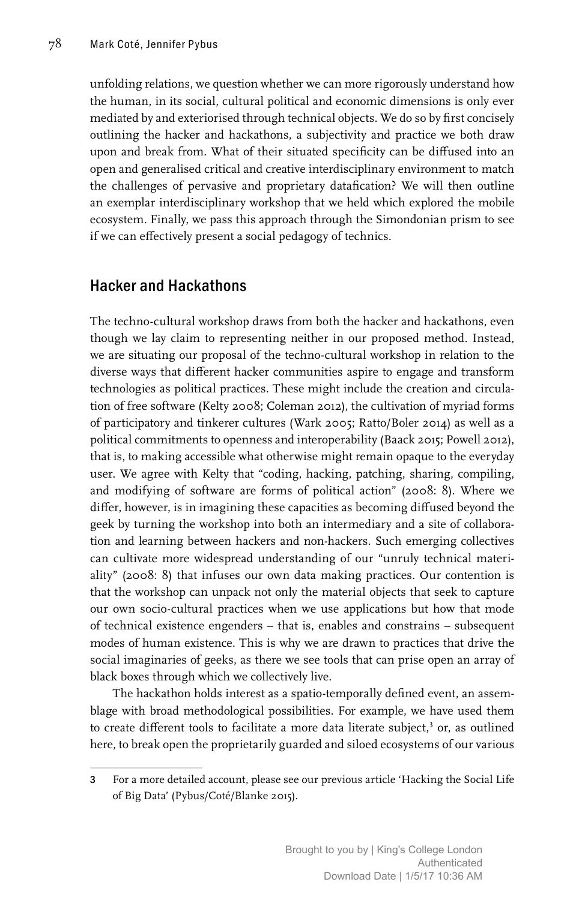unfolding relations, we question whether we can more rigorously understand how the human, in its social, cultural political and economic dimensions is only ever mediated by and exteriorised through technical objects. We do so by first concisely outlining the hacker and hackathons, a subjectivity and practice we both draw upon and break from. What of their situated specificity can be diffused into an open and generalised critical and creative interdisciplinary environment to match the challenges of pervasive and proprietary datafication? We will then outline an exemplar interdisciplinary workshop that we held which explored the mobile ecosystem. Finally, we pass this approach through the Simondonian prism to see if we can effectively present a social pedagogy of technics.

## Hacker and Hackathons

The techno-cultural workshop draws from both the hacker and hackathons, even though we lay claim to representing neither in our proposed method. Instead, we are situating our proposal of the techno-cultural workshop in relation to the diverse ways that different hacker communities aspire to engage and transform technologies as political practices. These might include the creation and circulation of free software (Kelty 2008; Coleman 2012), the cultivation of myriad forms of participatory and tinkerer cultures (Wark 2005; Ratto/Boler 2014) as well as a political commitments to openness and interoperability (Baack 2015; Powell 2012), that is, to making accessible what otherwise might remain opaque to the everyday user. We agree with Kelty that "coding, hacking, patching, sharing, compiling, and modifying of software are forms of political action" (2008: 8). Where we differ, however, is in imagining these capacities as becoming diffused beyond the geek by turning the workshop into both an intermediary and a site of collaboration and learning between hackers and non-hackers. Such emerging collectives can cultivate more widespread understanding of our "unruly technical materiality" (2008: 8) that infuses our own data making practices. Our contention is that the workshop can unpack not only the material objects that seek to capture our own socio-cultural practices when we use applications but how that mode of technical existence engenders – that is, enables and constrains – subsequent modes of human existence. This is why we are drawn to practices that drive the social imaginaries of geeks, as there we see tools that can prise open an array of black boxes through which we collectively live.

The hackathon holds interest as a spatio-temporally defined event, an assemblage with broad methodological possibilities. For example, we have used them to create different tools to facilitate a more data literate subject,<sup>3</sup> or, as outlined here, to break open the proprietarily guarded and siloed ecosystems of our various

<sup>3</sup> For a more detailed account, please see our previous article 'Hacking the Social Life of Big Data' (Pybus/Coté/Blanke 2015).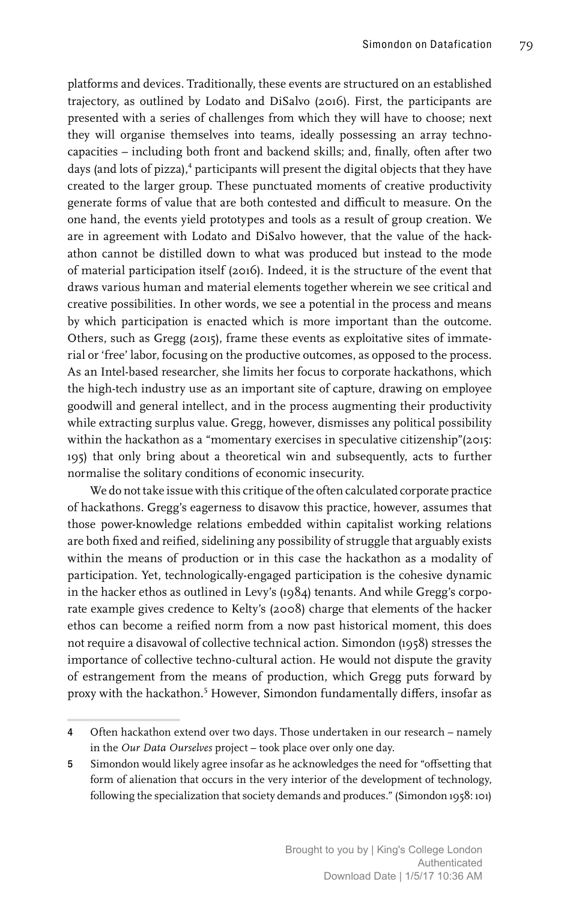platforms and devices. Traditionally, these events are structured on an established trajectory, as outlined by Lodato and DiSalvo (2016). First, the participants are presented with a series of challenges from which they will have to choose; next they will organise themselves into teams, ideally possessing an array technocapacities – including both front and backend skills; and, finally, often after two days (and lots of pizza),<sup>4</sup> participants will present the digital objects that they have created to the larger group. These punctuated moments of creative productivity generate forms of value that are both contested and difficult to measure. On the one hand, the events yield prototypes and tools as a result of group creation. We are in agreement with Lodato and DiSalvo however, that the value of the hackathon cannot be distilled down to what was produced but instead to the mode of material participation itself (2016). Indeed, it is the structure of the event that draws various human and material elements together wherein we see critical and creative possibilities. In other words, we see a potential in the process and means by which participation is enacted which is more important than the outcome. Others, such as Gregg (2015), frame these events as exploitative sites of immaterial or 'free' labor, focusing on the productive outcomes, as opposed to the process. As an Intel-based researcher, she limits her focus to corporate hackathons, which the high-tech industry use as an important site of capture, drawing on employee goodwill and general intellect, and in the process augmenting their productivity while extracting surplus value. Gregg, however, dismisses any political possibility within the hackathon as a "momentary exercises in speculative citizenship"(2015: 195) that only bring about a theoretical win and subsequently, acts to further normalise the solitary conditions of economic insecurity.

We do not take issue with this critique of the often calculated corporate practice of hackathons. Gregg's eagerness to disavow this practice, however, assumes that those power-knowledge relations embedded within capitalist working relations are both fixed and reified, sidelining any possibility of struggle that arguably exists within the means of production or in this case the hackathon as a modality of participation. Yet, technologically-engaged participation is the cohesive dynamic in the hacker ethos as outlined in Levy's (1984) tenants. And while Gregg's corporate example gives credence to Kelty's (2008) charge that elements of the hacker ethos can become a reified norm from a now past historical moment, this does not require a disavowal of collective technical action. Simondon (1958) stresses the importance of collective techno-cultural action. He would not dispute the gravity of estrangement from the means of production, which Gregg puts forward by proxy with the hackathon.<sup>5</sup> However, Simondon fundamentally differs, insofar as

<sup>4</sup> Often hackathon extend over two days. Those undertaken in our research – namely in the *Our Data Ourselves* project – took place over only one day.

<sup>5</sup> Simondon would likely agree insofar as he acknowledges the need for "offsetting that form of alienation that occurs in the very interior of the development of technology, following the specialization that society demands and produces." (Simondon 1958: 101)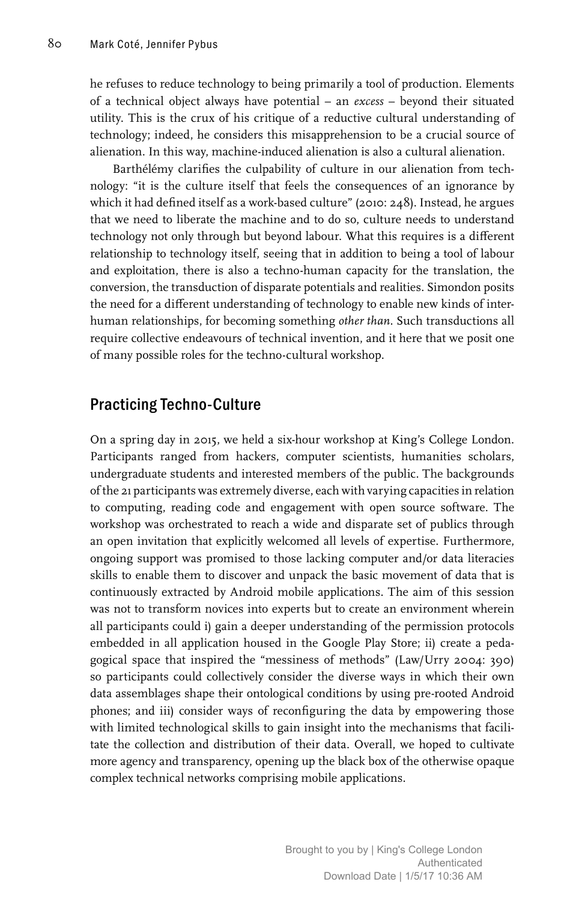he refuses to reduce technology to being primarily a tool of production. Elements of a technical object always have potential – an *excess* – beyond their situated utility. This is the crux of his critique of a reductive cultural understanding of technology; indeed, he considers this misapprehension to be a crucial source of alienation. In this way, machine-induced alienation is also a cultural alienation.

Barthélémy clarifies the culpability of culture in our alienation from technology: "it is the culture itself that feels the consequences of an ignorance by which it had defined itself as a work-based culture" (2010: 248). Instead, he argues that we need to liberate the machine and to do so, culture needs to understand technology not only through but beyond labour. What this requires is a different relationship to technology itself, seeing that in addition to being a tool of labour and exploitation, there is also a techno-human capacity for the translation, the conversion, the transduction of disparate potentials and realities. Simondon posits the need for a different understanding of technology to enable new kinds of interhuman relationships, for becoming something *other than*. Such transductions all require collective endeavours of technical invention, and it here that we posit one of many possible roles for the techno-cultural workshop.

## Practicing Techno-Culture

On a spring day in 2015, we held a six-hour workshop at King's College London. Participants ranged from hackers, computer scientists, humanities scholars, undergraduate students and interested members of the public. The backgrounds of the 21 participants was extremely diverse, each with varying capacities in relation to computing, reading code and engagement with open source software. The workshop was orchestrated to reach a wide and disparate set of publics through an open invitation that explicitly welcomed all levels of expertise. Furthermore, ongoing support was promised to those lacking computer and/or data literacies skills to enable them to discover and unpack the basic movement of data that is continuously extracted by Android mobile applications. The aim of this session was not to transform novices into experts but to create an environment wherein all participants could i) gain a deeper understanding of the permission protocols embedded in all application housed in the Google Play Store; ii) create a pedagogical space that inspired the "messiness of methods" (Law/Urry 2004: 390) so participants could collectively consider the diverse ways in which their own data assemblages shape their ontological conditions by using pre-rooted Android phones; and iii) consider ways of reconfiguring the data by empowering those with limited technological skills to gain insight into the mechanisms that facilitate the collection and distribution of their data. Overall, we hoped to cultivate more agency and transparency, opening up the black box of the otherwise opaque complex technical networks comprising mobile applications.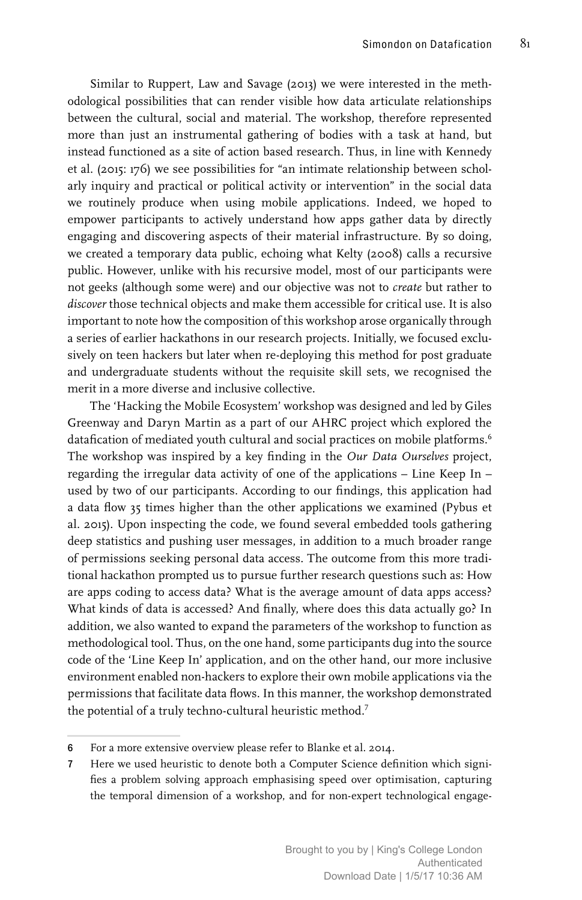Similar to Ruppert, Law and Savage (2013) we were interested in the methodological possibilities that can render visible how data articulate relationships between the cultural, social and material. The workshop, therefore represented more than just an instrumental gathering of bodies with a task at hand, but instead functioned as a site of action based research. Thus, in line with Kennedy et al. (2015: 176) we see possibilities for "an intimate relationship between scholarly inquiry and practical or political activity or intervention" in the social data we routinely produce when using mobile applications. Indeed, we hoped to empower participants to actively understand how apps gather data by directly engaging and discovering aspects of their material infrastructure. By so doing, we created a temporary data public, echoing what Kelty (2008) calls a recursive public. However, unlike with his recursive model, most of our participants were not geeks (although some were) and our objective was not to *create* but rather to *discover* those technical objects and make them accessible for critical use. It is also important to note how the composition of this workshop arose organically through a series of earlier hackathons in our research projects. Initially, we focused exclusively on teen hackers but later when re-deploying this method for post graduate and undergraduate students without the requisite skill sets, we recognised the merit in a more diverse and inclusive collective.

The 'Hacking the Mobile Ecosystem' workshop was designed and led by Giles Greenway and Daryn Martin as a part of our AHRC project which explored the datafication of mediated youth cultural and social practices on mobile platforms.<sup>6</sup> The workshop was inspired by a key finding in the *Our Data Ourselves* project, regarding the irregular data activity of one of the applications – Line Keep In – used by two of our participants. According to our findings, this application had a data flow 35 times higher than the other applications we examined (Pybus et al. 2015). Upon inspecting the code, we found several embedded tools gathering deep statistics and pushing user messages, in addition to a much broader range of permissions seeking personal data access. The outcome from this more traditional hackathon prompted us to pursue further research questions such as: How are apps coding to access data? What is the average amount of data apps access? What kinds of data is accessed? And finally, where does this data actually go? In addition, we also wanted to expand the parameters of the workshop to function as methodological tool. Thus, on the one hand, some participants dug into the source code of the 'Line Keep In' application, and on the other hand, our more inclusive environment enabled non-hackers to explore their own mobile applications via the permissions that facilitate data flows. In this manner, the workshop demonstrated the potential of a truly techno-cultural heuristic method.7

<sup>6</sup> For a more extensive overview please refer to Blanke et al. 2014.

<sup>7</sup> Here we used heuristic to denote both a Computer Science definition which signifies a problem solving approach emphasising speed over optimisation, capturing the temporal dimension of a workshop, and for non-expert technological engage-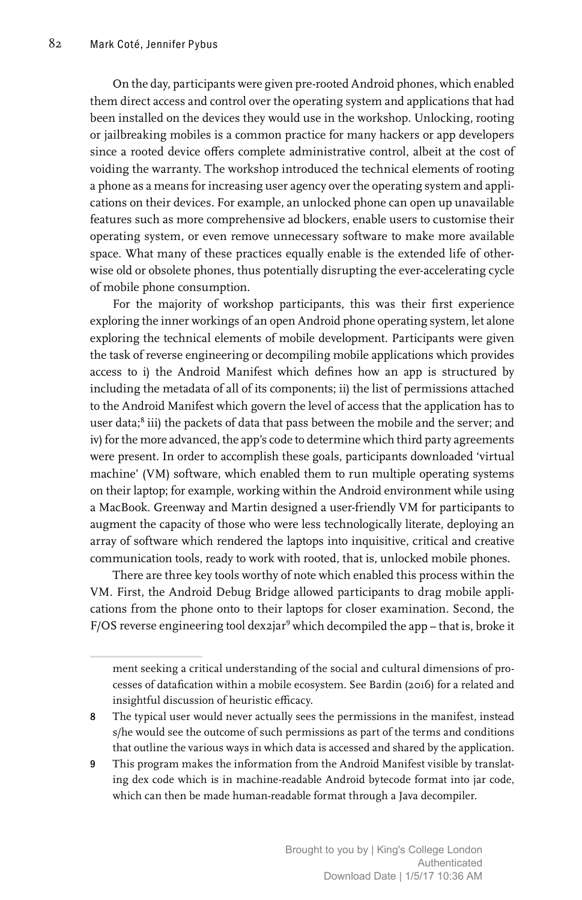On the day, participants were given pre-rooted Android phones, which enabled them direct access and control over the operating system and applications that had been installed on the devices they would use in the workshop. Unlocking, rooting or jailbreaking mobiles is a common practice for many hackers or app developers since a rooted device offers complete administrative control, albeit at the cost of voiding the warranty. The workshop introduced the technical elements of rooting a phone as a means for increasing user agency over the operating system and applications on their devices. For example, an unlocked phone can open up unavailable features such as more comprehensive ad blockers, enable users to customise their operating system, or even remove unnecessary software to make more available space. What many of these practices equally enable is the extended life of otherwise old or obsolete phones, thus potentially disrupting the ever-accelerating cycle of mobile phone consumption.

For the majority of workshop participants, this was their first experience exploring the inner workings of an open Android phone operating system, let alone exploring the technical elements of mobile development. Participants were given the task of reverse engineering or decompiling mobile applications which provides access to i) the Android Manifest which defines how an app is structured by including the metadata of all of its components; ii) the list of permissions attached to the Android Manifest which govern the level of access that the application has to user data;<sup>8</sup> iii) the packets of data that pass between the mobile and the server; and iv) for the more advanced, the app's code to determine which third party agreements were present. In order to accomplish these goals, participants downloaded 'virtual machine' (VM) software, which enabled them to run multiple operating systems on their laptop; for example, working within the Android environment while using a MacBook. Greenway and Martin designed a user-friendly VM for participants to augment the capacity of those who were less technologically literate, deploying an array of software which rendered the laptops into inquisitive, critical and creative communication tools, ready to work with rooted, that is, unlocked mobile phones.

There are three key tools worthy of note which enabled this process within the VM. First, the Android Debug Bridge allowed participants to drag mobile applications from the phone onto to their laptops for closer examination. Second, the F/OS reverse engineering tool dex2jar<sup>9</sup> which decompiled the app – that is, broke it

ment seeking a critical understanding of the social and cultural dimensions of processes of datafication within a mobile ecosystem. See Bardin (2016) for a related and insightful discussion of heuristic efficacy.

<sup>8</sup> The typical user would never actually sees the permissions in the manifest, instead s/he would see the outcome of such permissions as part of the terms and conditions that outline the various ways in which data is accessed and shared by the application.

<sup>9</sup> This program makes the information from the Android Manifest visible by translating dex code which is in machine-readable Android bytecode format into jar code, which can then be made human-readable format through a Java decompiler.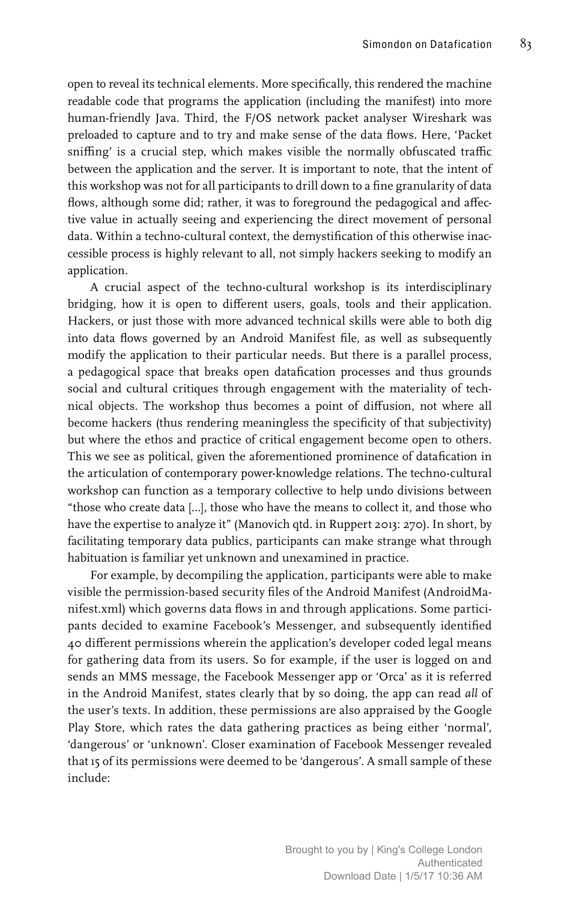open to reveal its technical elements. More specifically, this rendered the machine readable code that programs the application (including the manifest) into more human-friendly Java. Third, the F/OS network packet analyser Wireshark was preloaded to capture and to try and make sense of the data flows. Here, 'Packet sniffing' is a crucial step, which makes visible the normally obfuscated traffic between the application and the server. It is important to note, that the intent of this workshop was not for all participants to drill down to a fine granularity of data flows, although some did; rather, it was to foreground the pedagogical and affective value in actually seeing and experiencing the direct movement of personal data. Within a techno-cultural context, the demystification of this otherwise inaccessible process is highly relevant to all, not simply hackers seeking to modify an application.

A crucial aspect of the techno-cultural workshop is its interdisciplinary bridging, how it is open to different users, goals, tools and their application. Hackers, or just those with more advanced technical skills were able to both dig into data flows governed by an Android Manifest file, as well as subsequently modify the application to their particular needs. But there is a parallel process, a pedagogical space that breaks open datafication processes and thus grounds social and cultural critiques through engagement with the materiality of technical objects. The workshop thus becomes a point of diffusion, not where all become hackers (thus rendering meaningless the specificity of that subjectivity) but where the ethos and practice of critical engagement become open to others. This we see as political, given the aforementioned prominence of datafication in the articulation of contemporary power-knowledge relations. The techno-cultural workshop can function as a temporary collective to help undo divisions between "those who create data […], those who have the means to collect it, and those who have the expertise to analyze it" (Manovich qtd. in Ruppert 2013: 270). In short, by facilitating temporary data publics, participants can make strange what through habituation is familiar yet unknown and unexamined in practice.

For example, by decompiling the application, participants were able to make visible the permission-based security files of the Android Manifest (AndroidManifest.xml) which governs data flows in and through applications. Some participants decided to examine Facebook's Messenger, and subsequently identified 40 different permissions wherein the application's developer coded legal means for gathering data from its users. So for example, if the user is logged on and sends an MMS message, the Facebook Messenger app or 'Orca' as it is referred in the Android Manifest, states clearly that by so doing, the app can read *all* of the user's texts. In addition, these permissions are also appraised by the Google Play Store, which rates the data gathering practices as being either 'normal', 'dangerous' or 'unknown'. Closer examination of Facebook Messenger revealed that 15 of its permissions were deemed to be 'dangerous'. A small sample of these include: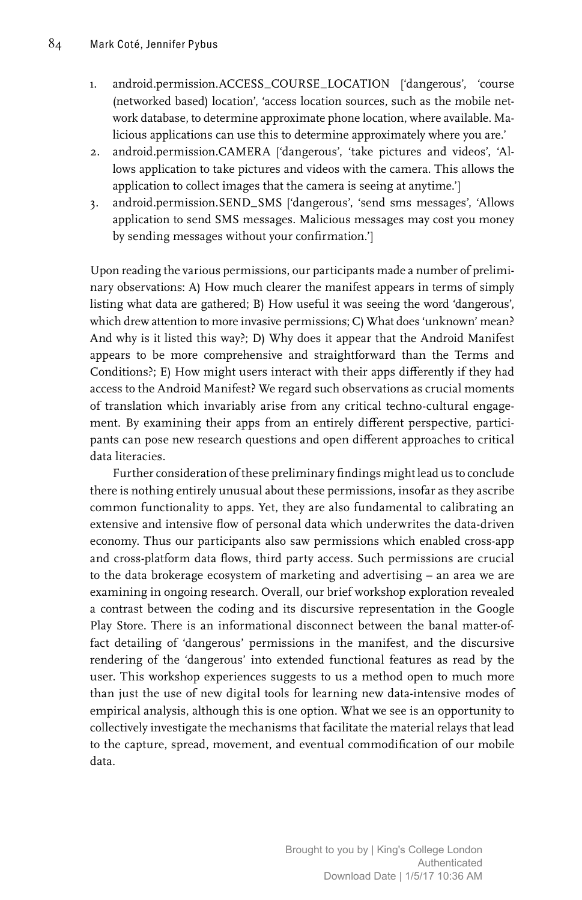- 1. android.permission.ACCESS\_COURSE\_LOCATION ['dangerous', 'course (networked based) location', 'access location sources, such as the mobile network database, to determine approximate phone location, where available. Malicious applications can use this to determine approximately where you are.'
- 2. android.permission.CAMERA ['dangerous', 'take pictures and videos', 'Allows application to take pictures and videos with the camera. This allows the application to collect images that the camera is seeing at anytime.']
- 3. android.permission.SEND\_SMS ['dangerous', 'send sms messages', 'Allows application to send SMS messages. Malicious messages may cost you money by sending messages without your confirmation.']

Upon reading the various permissions, our participants made a number of preliminary observations: A) How much clearer the manifest appears in terms of simply listing what data are gathered; B) How useful it was seeing the word 'dangerous', which drew attention to more invasive permissions; C) What does 'unknown' mean? And why is it listed this way?; D) Why does it appear that the Android Manifest appears to be more comprehensive and straightforward than the Terms and Conditions?; E) How might users interact with their apps differently if they had access to the Android Manifest? We regard such observations as crucial moments of translation which invariably arise from any critical techno-cultural engagement. By examining their apps from an entirely different perspective, participants can pose new research questions and open different approaches to critical data literacies.

Further consideration of these preliminary findings might lead us to conclude there is nothing entirely unusual about these permissions, insofar as they ascribe common functionality to apps. Yet, they are also fundamental to calibrating an extensive and intensive flow of personal data which underwrites the data-driven economy. Thus our participants also saw permissions which enabled cross-app and cross-platform data flows, third party access. Such permissions are crucial to the data brokerage ecosystem of marketing and advertising – an area we are examining in ongoing research. Overall, our brief workshop exploration revealed a contrast between the coding and its discursive representation in the Google Play Store. There is an informational disconnect between the banal matter-offact detailing of 'dangerous' permissions in the manifest, and the discursive rendering of the 'dangerous' into extended functional features as read by the user. This workshop experiences suggests to us a method open to much more than just the use of new digital tools for learning new data-intensive modes of empirical analysis, although this is one option. What we see is an opportunity to collectively investigate the mechanisms that facilitate the material relays that lead to the capture, spread, movement, and eventual commodification of our mobile data.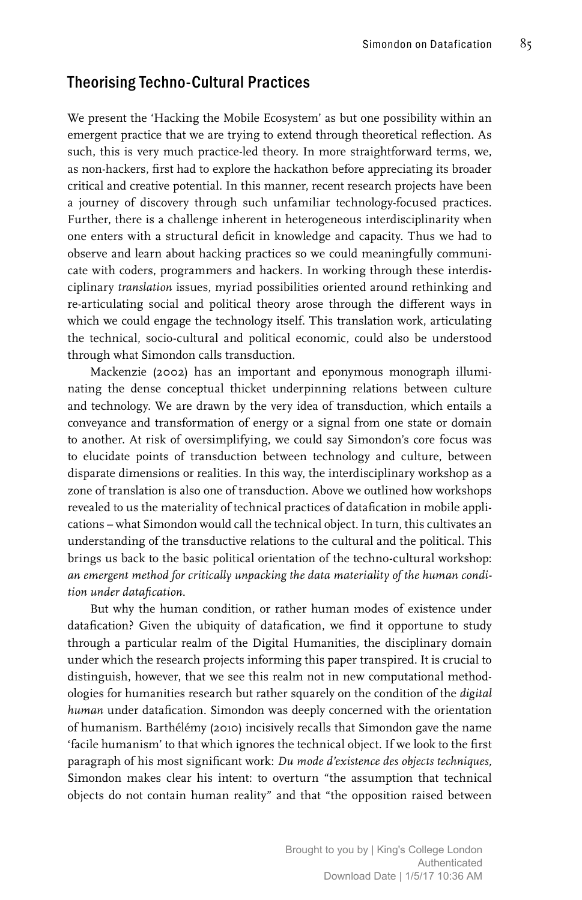### Theorising Techno-Cultural Practices

We present the 'Hacking the Mobile Ecosystem' as but one possibility within an emergent practice that we are trying to extend through theoretical reflection. As such, this is very much practice-led theory. In more straightforward terms, we, as non-hackers, first had to explore the hackathon before appreciating its broader critical and creative potential. In this manner, recent research projects have been a journey of discovery through such unfamiliar technology-focused practices. Further, there is a challenge inherent in heterogeneous interdisciplinarity when one enters with a structural deficit in knowledge and capacity. Thus we had to observe and learn about hacking practices so we could meaningfully communicate with coders, programmers and hackers. In working through these interdisciplinary *translation* issues, myriad possibilities oriented around rethinking and re-articulating social and political theory arose through the different ways in which we could engage the technology itself. This translation work, articulating the technical, socio-cultural and political economic, could also be understood through what Simondon calls transduction.

Mackenzie (2002) has an important and eponymous monograph illuminating the dense conceptual thicket underpinning relations between culture and technology. We are drawn by the very idea of transduction, which entails a conveyance and transformation of energy or a signal from one state or domain to another. At risk of oversimplifying, we could say Simondon's core focus was to elucidate points of transduction between technology and culture, between disparate dimensions or realities. In this way, the interdisciplinary workshop as a zone of translation is also one of transduction. Above we outlined how workshops revealed to us the materiality of technical practices of datafication in mobile applications – what Simondon would call the technical object. In turn, this cultivates an understanding of the transductive relations to the cultural and the political. This brings us back to the basic political orientation of the techno-cultural workshop: *an emergent method for critically unpacking the data materiality of the human condition under datafication*.

But why the human condition, or rather human modes of existence under datafication? Given the ubiquity of datafication, we find it opportune to study through a particular realm of the Digital Humanities, the disciplinary domain under which the research projects informing this paper transpired. It is crucial to distinguish, however, that we see this realm not in new computational methodologies for humanities research but rather squarely on the condition of the *digital human* under datafication. Simondon was deeply concerned with the orientation of humanism. Barthélémy (2010) incisively recalls that Simondon gave the name 'facile humanism' to that which ignores the technical object. If we look to the first paragraph of his most significant work: *Du mode d'existence des objects techniques,*  Simondon makes clear his intent: to overturn "the assumption that technical objects do not contain human reality" and that "the opposition raised between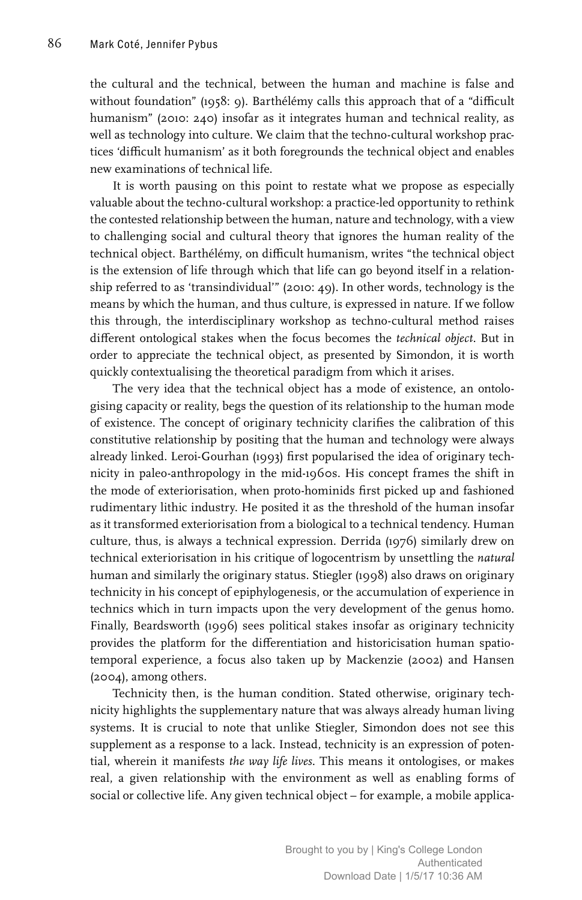the cultural and the technical, between the human and machine is false and without foundation" (1958: 9). Barthélémy calls this approach that of a "difficult humanism" (2010: 240) insofar as it integrates human and technical reality, as well as technology into culture. We claim that the techno-cultural workshop practices 'difficult humanism' as it both foregrounds the technical object and enables new examinations of technical life.

It is worth pausing on this point to restate what we propose as especially valuable about the techno-cultural workshop: a practice-led opportunity to rethink the contested relationship between the human, nature and technology, with a view to challenging social and cultural theory that ignores the human reality of the technical object. Barthélémy, on difficult humanism, writes "the technical object is the extension of life through which that life can go beyond itself in a relationship referred to as 'transindividual'" (2010: 49). In other words, technology is the means by which the human, and thus culture, is expressed in nature. If we follow this through, the interdisciplinary workshop as techno-cultural method raises different ontological stakes when the focus becomes the *technical object*. But in order to appreciate the technical object, as presented by Simondon, it is worth quickly contextualising the theoretical paradigm from which it arises.

The very idea that the technical object has a mode of existence, an ontologising capacity or reality, begs the question of its relationship to the human mode of existence. The concept of originary technicity clarifies the calibration of this constitutive relationship by positing that the human and technology were always already linked. Leroi-Gourhan (1993) first popularised the idea of originary technicity in paleo-anthropology in the mid-1960s. His concept frames the shift in the mode of exteriorisation, when proto-hominids first picked up and fashioned rudimentary lithic industry. He posited it as the threshold of the human insofar as it transformed exteriorisation from a biological to a technical tendency. Human culture, thus, is always a technical expression. Derrida (1976) similarly drew on technical exteriorisation in his critique of logocentrism by unsettling the *natural*  human and similarly the originary status. Stiegler (1998) also draws on originary technicity in his concept of epiphylogenesis, or the accumulation of experience in technics which in turn impacts upon the very development of the genus homo. Finally, Beardsworth (1996) sees political stakes insofar as originary technicity provides the platform for the differentiation and historicisation human spatiotemporal experience, a focus also taken up by Mackenzie (2002) and Hansen (2004), among others.

Technicity then, is the human condition. Stated otherwise, originary technicity highlights the supplementary nature that was always already human living systems. It is crucial to note that unlike Stiegler, Simondon does not see this supplement as a response to a lack. Instead, technicity is an expression of potential, wherein it manifests *the way life lives*. This means it ontologises, or makes real, a given relationship with the environment as well as enabling forms of social or collective life. Any given technical object – for example, a mobile applica-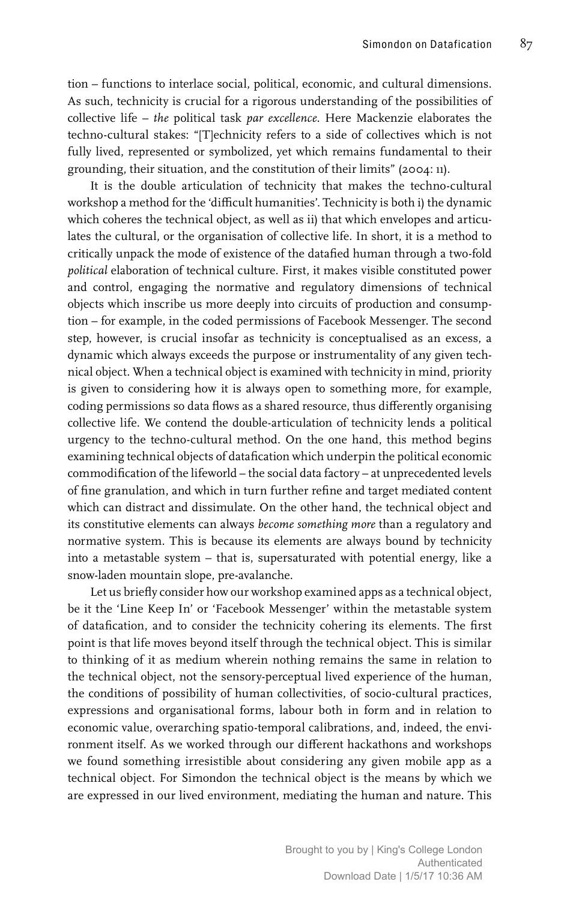tion – functions to interlace social, political, economic, and cultural dimensions. As such, technicity is crucial for a rigorous understanding of the possibilities of collective life – *the* political task *par excellence*. Here Mackenzie elaborates the techno-cultural stakes: "[T]echnicity refers to a side of collectives which is not fully lived, represented or symbolized, yet which remains fundamental to their grounding, their situation, and the constitution of their limits" (2004: 11).

It is the double articulation of technicity that makes the techno-cultural workshop a method for the 'difficult humanities'. Technicity is both i) the dynamic which coheres the technical object, as well as ii) that which envelopes and articulates the cultural, or the organisation of collective life. In short, it is a method to critically unpack the mode of existence of the datafied human through a two-fold *political* elaboration of technical culture. First, it makes visible constituted power and control, engaging the normative and regulatory dimensions of technical objects which inscribe us more deeply into circuits of production and consumption – for example, in the coded permissions of Facebook Messenger. The second step, however, is crucial insofar as technicity is conceptualised as an excess, a dynamic which always exceeds the purpose or instrumentality of any given technical object. When a technical object is examined with technicity in mind, priority is given to considering how it is always open to something more, for example, coding permissions so data flows as a shared resource, thus differently organising collective life. We contend the double-articulation of technicity lends a political urgency to the techno-cultural method. On the one hand, this method begins examining technical objects of datafication which underpin the political economic commodification of the lifeworld – the social data factory – at unprecedented levels of fine granulation, and which in turn further refine and target mediated content which can distract and dissimulate. On the other hand, the technical object and its constitutive elements can always *become something more* than a regulatory and normative system. This is because its elements are always bound by technicity into a metastable system – that is, supersaturated with potential energy, like a snow-laden mountain slope, pre-avalanche.

Let us briefly consider how our workshop examined apps as a technical object, be it the 'Line Keep In' or 'Facebook Messenger' within the metastable system of datafication, and to consider the technicity cohering its elements. The first point is that life moves beyond itself through the technical object. This is similar to thinking of it as medium wherein nothing remains the same in relation to the technical object, not the sensory-perceptual lived experience of the human, the conditions of possibility of human collectivities, of socio-cultural practices, expressions and organisational forms, labour both in form and in relation to economic value, overarching spatio-temporal calibrations, and, indeed, the environment itself. As we worked through our different hackathons and workshops we found something irresistible about considering any given mobile app as a technical object. For Simondon the technical object is the means by which we are expressed in our lived environment, mediating the human and nature. This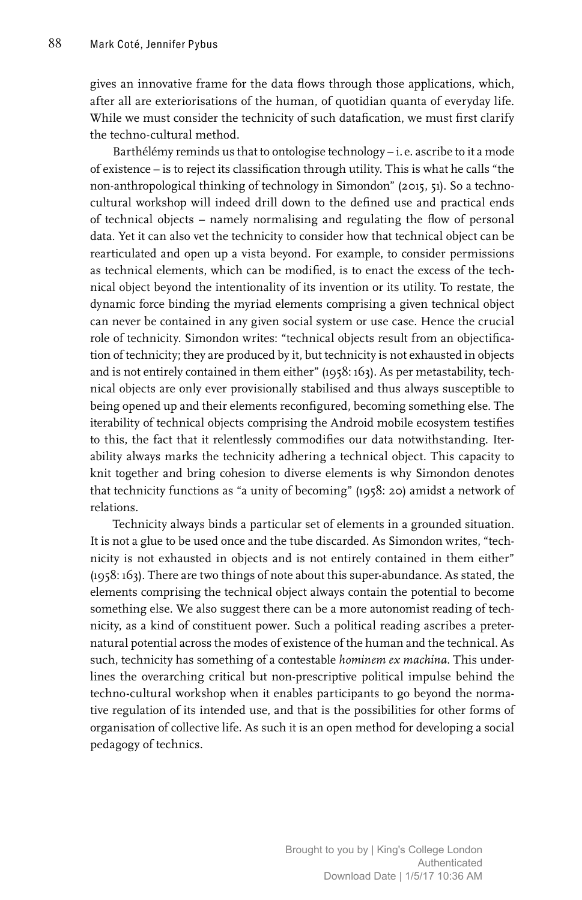gives an innovative frame for the data flows through those applications, which, after all are exteriorisations of the human, of quotidian quanta of everyday life. While we must consider the technicity of such datafication, we must first clarify the techno-cultural method.

Barthélémy reminds us that to ontologise technology – i. e. ascribe to it a mode of existence – is to reject its classification through utility. This is what he calls "the non-anthropological thinking of technology in Simondon" (2015, 51). So a technocultural workshop will indeed drill down to the defined use and practical ends of technical objects – namely normalising and regulating the flow of personal data. Yet it can also vet the technicity to consider how that technical object can be rearticulated and open up a vista beyond. For example, to consider permissions as technical elements, which can be modified, is to enact the excess of the technical object beyond the intentionality of its invention or its utility. To restate, the dynamic force binding the myriad elements comprising a given technical object can never be contained in any given social system or use case. Hence the crucial role of technicity. Simondon writes: "technical objects result from an objectification of technicity; they are produced by it, but technicity is not exhausted in objects and is not entirely contained in them either" (1958: 163). As per metastability, technical objects are only ever provisionally stabilised and thus always susceptible to being opened up and their elements reconfigured, becoming something else. The iterability of technical objects comprising the Android mobile ecosystem testifies to this, the fact that it relentlessly commodifies our data notwithstanding. Iterability always marks the technicity adhering a technical object. This capacity to knit together and bring cohesion to diverse elements is why Simondon denotes that technicity functions as "a unity of becoming" (1958: 20) amidst a network of relations.

Technicity always binds a particular set of elements in a grounded situation. It is not a glue to be used once and the tube discarded. As Simondon writes, "technicity is not exhausted in objects and is not entirely contained in them either" (1958: 163). There are two things of note about this super-abundance. As stated, the elements comprising the technical object always contain the potential to become something else. We also suggest there can be a more autonomist reading of technicity, as a kind of constituent power. Such a political reading ascribes a preternatural potential across the modes of existence of the human and the technical. As such, technicity has something of a contestable *hominem ex machina*. This underlines the overarching critical but non-prescriptive political impulse behind the techno-cultural workshop when it enables participants to go beyond the normative regulation of its intended use, and that is the possibilities for other forms of organisation of collective life. As such it is an open method for developing a social pedagogy of technics.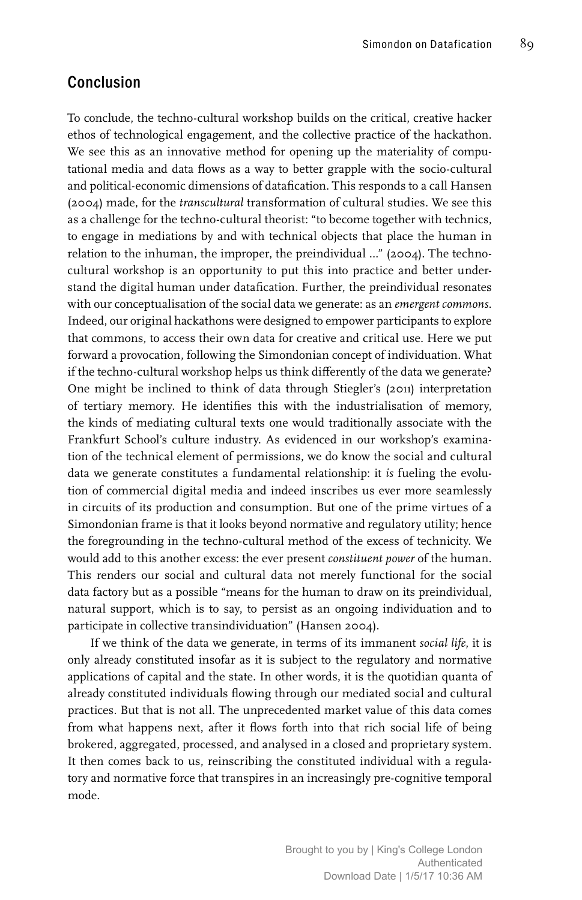### Conclusion

To conclude, the techno-cultural workshop builds on the critical, creative hacker ethos of technological engagement, and the collective practice of the hackathon. We see this as an innovative method for opening up the materiality of computational media and data flows as a way to better grapple with the socio-cultural and political-economic dimensions of datafication. This responds to a call Hansen (2004) made, for the *transcultural* transformation of cultural studies. We see this as a challenge for the techno-cultural theorist: "to become together with technics, to engage in mediations by and with technical objects that place the human in relation to the inhuman, the improper, the preindividual …" (2004). The technocultural workshop is an opportunity to put this into practice and better understand the digital human under datafication. Further, the preindividual resonates with our conceptualisation of the social data we generate: as an *emergent commons*. Indeed, our original hackathons were designed to empower participants to explore that commons, to access their own data for creative and critical use. Here we put forward a provocation, following the Simondonian concept of individuation. What if the techno-cultural workshop helps us think differently of the data we generate? One might be inclined to think of data through Stiegler's (2011) interpretation of tertiary memory. He identifies this with the industrialisation of memory, the kinds of mediating cultural texts one would traditionally associate with the Frankfurt School's culture industry. As evidenced in our workshop's examination of the technical element of permissions, we do know the social and cultural data we generate constitutes a fundamental relationship: it *is* fueling the evolution of commercial digital media and indeed inscribes us ever more seamlessly in circuits of its production and consumption. But one of the prime virtues of a Simondonian frame is that it looks beyond normative and regulatory utility; hence the foregrounding in the techno-cultural method of the excess of technicity. We would add to this another excess: the ever present *constituent power* of the human. This renders our social and cultural data not merely functional for the social data factory but as a possible "means for the human to draw on its preindividual, natural support, which is to say, to persist as an ongoing individuation and to participate in collective transindividuation" (Hansen 2004).

If we think of the data we generate, in terms of its immanent *social life*, it is only already constituted insofar as it is subject to the regulatory and normative applications of capital and the state. In other words, it is the quotidian quanta of already constituted individuals flowing through our mediated social and cultural practices. But that is not all. The unprecedented market value of this data comes from what happens next, after it flows forth into that rich social life of being brokered, aggregated, processed, and analysed in a closed and proprietary system. It then comes back to us, reinscribing the constituted individual with a regulatory and normative force that transpires in an increasingly pre-cognitive temporal mode.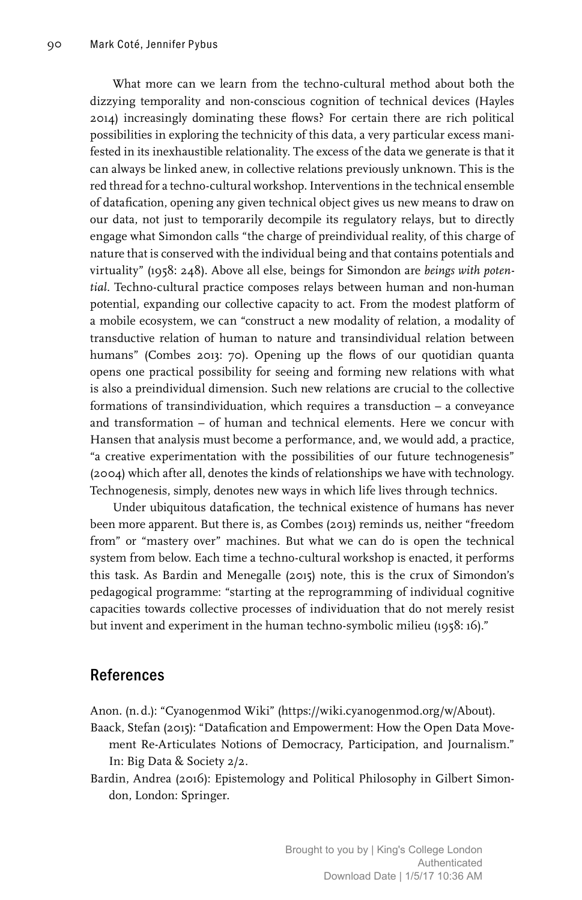What more can we learn from the techno-cultural method about both the dizzying temporality and non-conscious cognition of technical devices (Hayles 2014) increasingly dominating these flows? For certain there are rich political possibilities in exploring the technicity of this data, a very particular excess manifested in its inexhaustible relationality. The excess of the data we generate is that it can always be linked anew, in collective relations previously unknown. This is the red thread for a techno-cultural workshop. Interventions in the technical ensemble of datafication, opening any given technical object gives us new means to draw on our data, not just to temporarily decompile its regulatory relays, but to directly engage what Simondon calls "the charge of preindividual reality, of this charge of nature that is conserved with the individual being and that contains potentials and virtuality" (1958: 248). Above all else, beings for Simondon are *beings with potential*. Techno-cultural practice composes relays between human and non-human potential, expanding our collective capacity to act. From the modest platform of a mobile ecosystem, we can "construct a new modality of relation, a modality of transductive relation of human to nature and transindividual relation between humans" (Combes 2013: 70). Opening up the flows of our quotidian quanta opens one practical possibility for seeing and forming new relations with what is also a preindividual dimension. Such new relations are crucial to the collective formations of transindividuation, which requires a transduction – a conveyance and transformation – of human and technical elements. Here we concur with Hansen that analysis must become a performance, and, we would add, a practice, "a creative experimentation with the possibilities of our future technogenesis" (2004) which after all, denotes the kinds of relationships we have with technology. Technogenesis, simply, denotes new ways in which life lives through technics.

Under ubiquitous datafication, the technical existence of humans has never been more apparent. But there is, as Combes (2013) reminds us, neither "freedom from" or "mastery over" machines. But what we can do is open the technical system from below. Each time a techno-cultural workshop is enacted, it performs this task. As Bardin and Menegalle (2015) note, this is the crux of Simondon's pedagogical programme: "starting at the reprogramming of individual cognitive capacities towards collective processes of individuation that do not merely resist but invent and experiment in the human techno-symbolic milieu (1958: 16)."

### References

Anon. (n.d.): "Cyanogenmod Wiki" (https://wiki.cyanogenmod.org/w/About). Baack, Stefan (2015): "Datafication and Empowerment: How the Open Data Move-

- ment Re-Articulates Notions of Democracy, Participation, and Journalism." In: Big Data & Society 2/2.
- Bardin, Andrea (2016): Epistemology and Political Philosophy in Gilbert Simondon, London: Springer.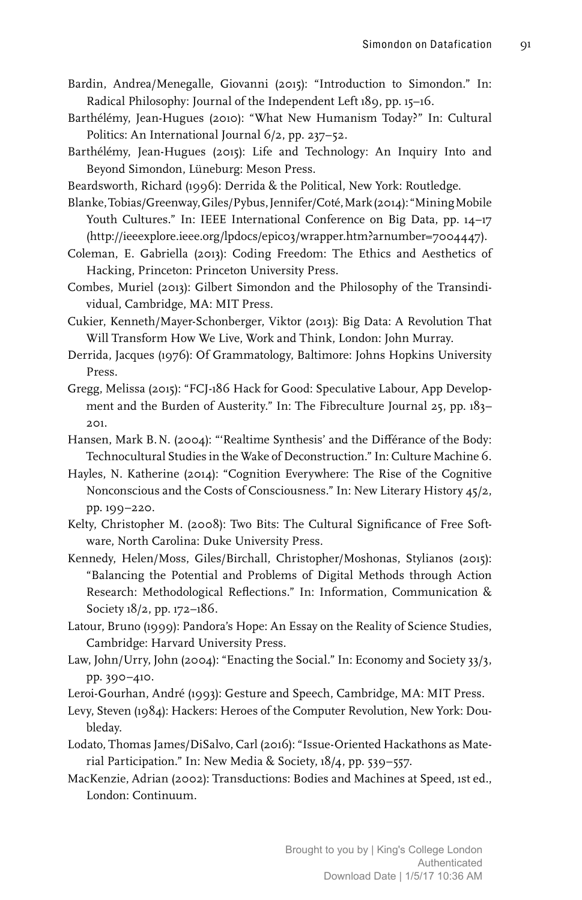- Bardin, Andrea/Menegalle, Giovanni (2015): "Introduction to Simondon." In: Radical Philosophy: Journal of the Independent Left 189, pp. 15–16.
- Barthélémy, Jean-Hugues (2010): "What New Humanism Today?" In: Cultural Politics: An International Journal 6/2, pp. 237–52.
- Barthélémy, Jean-Hugues (2015): Life and Technology: An Inquiry Into and Beyond Simondon, Lüneburg: Meson Press.
- Beardsworth, Richard (1996): Derrida & the Political, New York: Routledge.
- Blanke, Tobias/Greenway, Giles/Pybus, Jennifer/Coté, Mark (2014): "Mining Mobile Youth Cultures." In: IEEE International Conference on Big Data, pp. 14–17 (http://ieeexplore.ieee.org/lpdocs/epic03/wrapper.htm?arnumber=7004447).
- Coleman, E. Gabriella (2013): Coding Freedom: The Ethics and Aesthetics of Hacking, Princeton: Princeton University Press.
- Combes, Muriel (2013): Gilbert Simondon and the Philosophy of the Transindividual, Cambridge, MA: MIT Press.
- Cukier, Kenneth/Mayer-Schonberger, Viktor (2013): Big Data: A Revolution That Will Transform How We Live, Work and Think, London: John Murray.
- Derrida, Jacques (1976): Of Grammatology, Baltimore: Johns Hopkins University Press.
- Gregg, Melissa (2015): "FCJ-186 Hack for Good: Speculative Labour, App Development and the Burden of Austerity." In: The Fibreculture Journal 25, pp. 183– 201.
- Hansen, Mark B.N. (2004): "'Realtime Synthesis' and the Différance of the Body: Technocultural Studies in the Wake of Deconstruction." In: Culture Machine 6.
- Hayles, N. Katherine (2014): "Cognition Everywhere: The Rise of the Cognitive Nonconscious and the Costs of Consciousness." In: New Literary History 45/2, pp. 199–220.
- Kelty, Christopher M. (2008): Two Bits: The Cultural Significance of Free Software, North Carolina: Duke University Press.
- Kennedy, Helen/Moss, Giles/Birchall, Christopher/Moshonas, Stylianos (2015): "Balancing the Potential and Problems of Digital Methods through Action Research: Methodological Reflections." In: Information, Communication & Society 18/2, pp. 172–186.
- Latour, Bruno (1999): Pandora's Hope: An Essay on the Reality of Science Studies, Cambridge: Harvard University Press.
- Law, John/Urry, John (2004): "Enacting the Social." In: Economy and Society 33/3, pp. 390–410.
- Leroi-Gourhan, André (1993): Gesture and Speech, Cambridge, MA: MIT Press.
- Levy, Steven (1984): Hackers: Heroes of the Computer Revolution, New York: Doubleday.
- Lodato, Thomas James/DiSalvo, Carl (2016): "Issue-Oriented Hackathons as Material Participation." In: New Media & Society, 18/4, pp. 539–557.
- MacKenzie, Adrian (2002): Transductions: Bodies and Machines at Speed, 1st ed., London: Continuum.